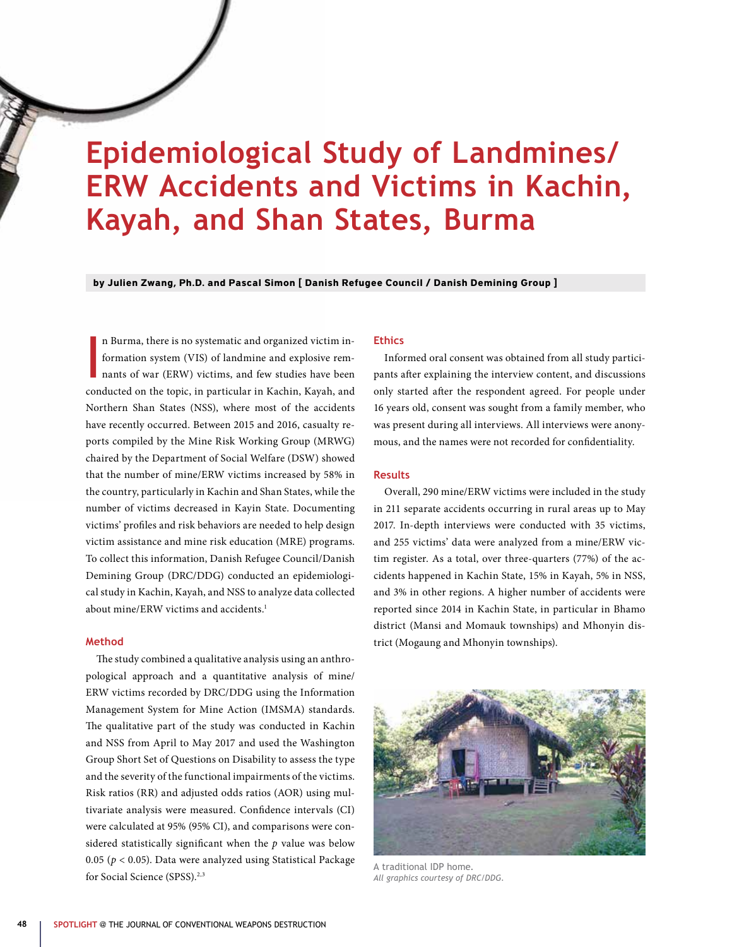# **Epidemiological Study of Landmines/ ERW Accidents and Victims in Kachin, Kayah, and Shan States, Burma**

**by Julien Zwang, Ph.D. and Pascal Simon [ Danish Refugee Council / Danish Demining Group ]**

I n Burma, there is no systematic and organized victim information system (VIS) of landmine and explosive remnants of war (ERW) victims, and few studies have been conducted on the topic, in particular in Kachin, Kayah, and Northern Shan States (NSS), where most of the accidents have recently occurred. Between 2015 and 2016, casualty reports compiled by the Mine Risk Working Group (MRWG) chaired by the Department of Social Welfare (DSW) showed that the number of mine/ERW victims increased by 58% in the country, particularly in Kachin and Shan States, while the number of victims decreased in Kayin State. Documenting victims' profiles and risk behaviors are needed to help design victim assistance and mine risk education (MRE) programs. To collect this information, Danish Refugee Council/Danish Demining Group (DRC/DDG) conducted an epidemiological study in Kachin, Kayah, and NSS to analyze data collected about mine/ERW victims and accidents.<sup>1</sup>

### **Method**

The study combined a qualitative analysis using an anthropological approach and a quantitative analysis of mine/ ERW victims recorded by DRC/DDG using the Information Management System for Mine Action (IMSMA) standards. The qualitative part of the study was conducted in Kachin and NSS from April to May 2017 and used the Washington Group Short Set of Questions on Disability to assess the type and the severity of the functional impairments of the victims. Risk ratios (RR) and adjusted odds ratios (AOR) using multivariate analysis were measured. Confidence intervals (CI) were calculated at 95% (95% CI), and comparisons were considered statistically significant when the *p* value was below 0.05 (*p* < 0.05). Data were analyzed using Statistical Package for Social Science (SPSS).<sup>2,3</sup>

#### **Ethics**

Informed oral consent was obtained from all study participants after explaining the interview content, and discussions only started after the respondent agreed. For people under 16 years old, consent was sought from a family member, who was present during all interviews. All interviews were anonymous, and the names were not recorded for confidentiality.

## **Results**

Overall, 290 mine/ERW victims were included in the study in 211 separate accidents occurring in rural areas up to May 2017. In-depth interviews were conducted with 35 victims, and 255 victims' data were analyzed from a mine/ERW victim register. As a total, over three-quarters (77%) of the accidents happened in Kachin State, 15% in Kayah, 5% in NSS, and 3% in other regions. A higher number of accidents were reported since 2014 in Kachin State, in particular in Bhamo district (Mansi and Momauk townships) and Mhonyin district (Mogaung and Mhonyin townships).



A traditional IDP home. *All graphics courtesy of DRC/DDG.*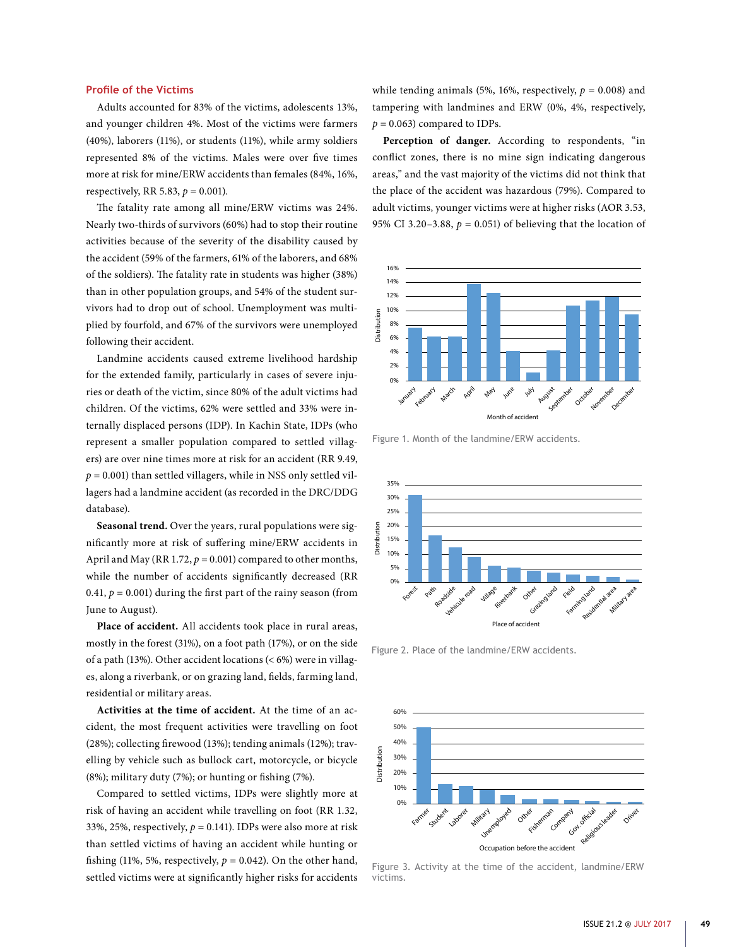#### **Profile of the Victims**

Adults accounted for 83% of the victims, adolescents 13%, and younger children 4%. Most of the victims were farmers (40%), laborers (11%), or students (11%), while army soldiers represented 8% of the victims. Males were over five times more at risk for mine/ERW accidents than females (84%, 16%, respectively, RR 5.83,  $p = 0.001$ ).

The fatality rate among all mine/ERW victims was 24%. Nearly two-thirds of survivors (60%) had to stop their routine activities because of the severity of the disability caused by the accident (59% of the farmers, 61% of the laborers, and 68% of the soldiers). The fatality rate in students was higher (38%) than in other population groups, and 54% of the student survivors had to drop out of school. Unemployment was multiplied by fourfold, and 67% of the survivors were unemployed following their accident.

Landmine accidents caused extreme livelihood hardship for the extended family, particularly in cases of severe injuries or death of the victim, since 80% of the adult victims had children. Of the victims, 62% were settled and 33% were internally displaced persons (IDP). In Kachin State, IDPs (who represent a smaller population compared to settled villagers) are over nine times more at risk for an accident (RR 9.49,  $p = 0.001$ ) than settled villagers, while in NSS only settled villagers had a landmine accident (as recorded in the DRC/DDG database).

**Seasonal trend.** Over the years, rural populations were significantly more at risk of suffering mine/ERW accidents in April and May (RR 1.72,  $p = 0.001$ ) compared to other months, while the number of accidents significantly decreased (RR 0.41,  $p = 0.001$ ) during the first part of the rainy season (from June to August).

**Place of accident.** All accidents took place in rural areas, mostly in the forest (31%), on a foot path (17%), or on the side of a path (13%). Other accident locations  $(< 6\%)$  were in villages, along a riverbank, or on grazing land, fields, farming land, residential or military areas.

**Activities at the time of accident.** At the time of an accident, the most frequent activities were travelling on foot (28%); collecting firewood (13%); tending animals (12%); travelling by vehicle such as bullock cart, motorcycle, or bicycle (8%); military duty (7%); or hunting or fishing (7%).

Compared to settled victims, IDPs were slightly more at risk of having an accident while travelling on foot (RR 1.32, 33%, 25%, respectively,  $p = 0.141$ ). IDPs were also more at risk than settled victims of having an accident while hunting or fishing (11%, 5%, respectively,  $p = 0.042$ ). On the other hand, settled victims were at significantly higher risks for accidents

while tending animals (5%, 16%, respectively,  $p = 0.008$ ) and tampering with landmines and ERW (0%, 4%, respectively,  $p = 0.063$  compared to IDPs.

**Perception of danger.** According to respondents, "in conflict zones, there is no mine sign indicating dangerous areas," and the vast majority of the victims did not think that the place of the accident was hazardous (79%). Compared to adult victims, younger victims were at higher risks (AOR 3.53, 95% CI 3.20-3.88,  $p = 0.051$ ) of believing that the location of



Figure 1. Month of the landmine/ERW accidents.



Figure 2. Place of the landmine/ERW accidents.



Figure 3. Activity at the time of the accident, landmine/ERW victims.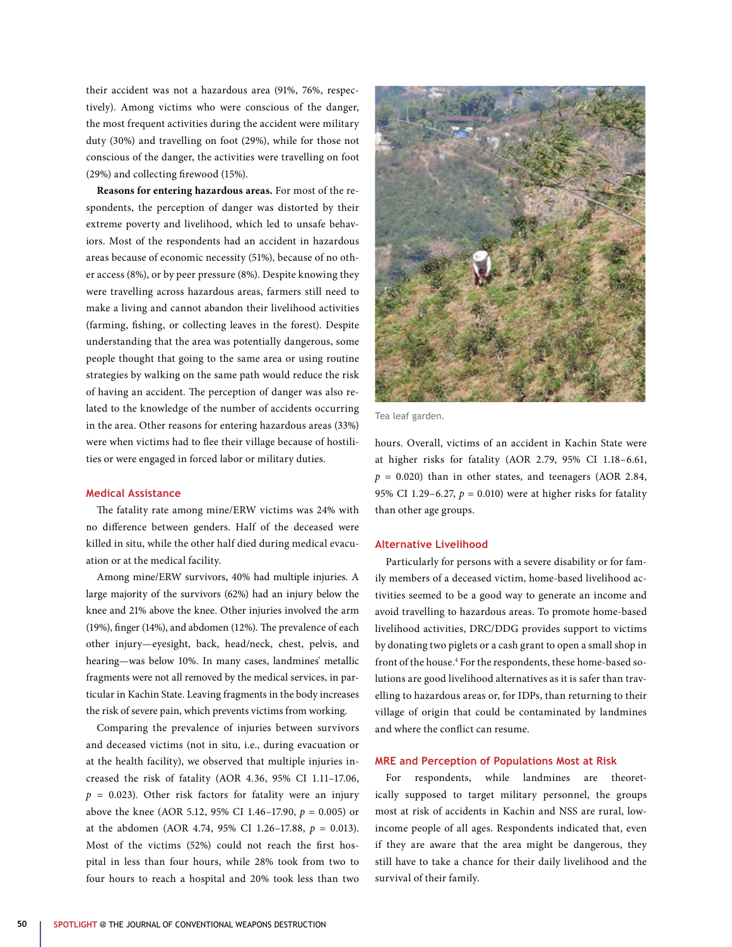their accident was not a hazardous area (91%, 76%, respectively). Among victims who were conscious of the danger, the most frequent activities during the accident were military duty (30%) and travelling on foot (29%), while for those not conscious of the danger, the activities were travelling on foot (29%) and collecting firewood (15%).

**Reasons for entering hazardous areas.** For most of the respondents, the perception of danger was distorted by their extreme poverty and livelihood, which led to unsafe behaviors. Most of the respondents had an accident in hazardous areas because of economic necessity (51%), because of no other access (8%), or by peer pressure (8%). Despite knowing they were travelling across hazardous areas, farmers still need to make a living and cannot abandon their livelihood activities (farming, fishing, or collecting leaves in the forest). Despite understanding that the area was potentially dangerous, some people thought that going to the same area or using routine strategies by walking on the same path would reduce the risk of having an accident. The perception of danger was also related to the knowledge of the number of accidents occurring in the area. Other reasons for entering hazardous areas (33%) were when victims had to flee their village because of hostilities or were engaged in forced labor or military duties.

## **Medical Assistance**

The fatality rate among mine/ERW victims was 24% with no difference between genders. Half of the deceased were killed in situ, while the other half died during medical evacuation or at the medical facility.

Among mine/ERW survivors, 40% had multiple injuries. A large majority of the survivors (62%) had an injury below the knee and 21% above the knee. Other injuries involved the arm (19%), finger (14%), and abdomen (12%). The prevalence of each other injury—eyesight, back, head/neck, chest, pelvis, and hearing—was below 10%. In many cases, landmines' metallic fragments were not all removed by the medical services, in particular in Kachin State. Leaving fragments in the body increases the risk of severe pain, which prevents victims from working.

Comparing the prevalence of injuries between survivors and deceased victims (not in situ, i.e., during evacuation or at the health facility), we observed that multiple injuries increased the risk of fatality (AOR 4.36, 95% CI 1.11–17.06,  $p = 0.023$ ). Other risk factors for fatality were an injury above the knee (AOR 5.12, 95% CI 1.46–17.90, *p* = 0.005) or at the abdomen (AOR 4.74, 95% CI 1.26–17.88, *p* = 0.013). Most of the victims (52%) could not reach the first hospital in less than four hours, while 28% took from two to four hours to reach a hospital and 20% took less than two



Tea leaf garden.

hours. Overall, victims of an accident in Kachin State were at higher risks for fatality (AOR 2.79, 95% CI 1.18–6.61,  $p = 0.020$ ) than in other states, and teenagers (AOR 2.84, 95% CI 1.29-6.27,  $p = 0.010$ ) were at higher risks for fatality than other age groups.

#### **Alternative Livelihood**

Particularly for persons with a severe disability or for family members of a deceased victim, home-based livelihood activities seemed to be a good way to generate an income and avoid travelling to hazardous areas. To promote home-based livelihood activities, DRC/DDG provides support to victims by donating two piglets or a cash grant to open a small shop in front of the house.<sup>4</sup> For the respondents, these home-based solutions are good livelihood alternatives as it is safer than travelling to hazardous areas or, for IDPs, than returning to their village of origin that could be contaminated by landmines and where the conflict can resume.

## **MRE and Perception of Populations Most at Risk**

For respondents, while landmines are theoretically supposed to target military personnel, the groups most at risk of accidents in Kachin and NSS are rural, lowincome people of all ages. Respondents indicated that, even if they are aware that the area might be dangerous, they still have to take a chance for their daily livelihood and the survival of their family.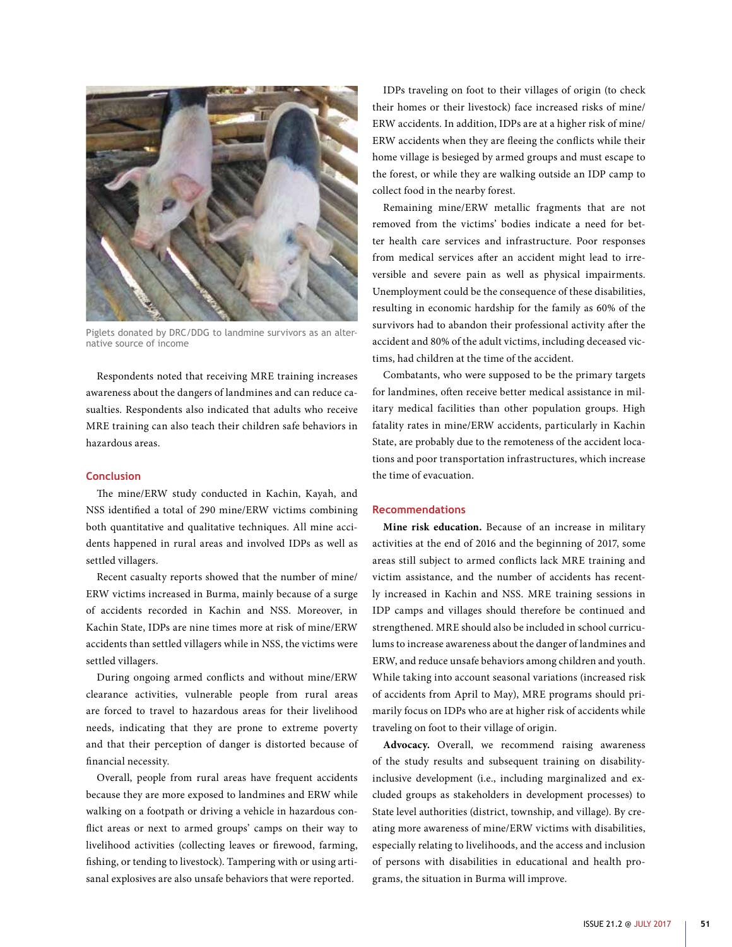

Piglets donated by DRC/DDG to landmine survivors as an alternative source of income

Respondents noted that receiving MRE training increases awareness about the dangers of landmines and can reduce casualties. Respondents also indicated that adults who receive MRE training can also teach their children safe behaviors in hazardous areas.

#### **Conclusion**

The mine/ERW study conducted in Kachin, Kayah, and NSS identified a total of 290 mine/ERW victims combining both quantitative and qualitative techniques. All mine accidents happened in rural areas and involved IDPs as well as settled villagers.

Recent casualty reports showed that the number of mine/ ERW victims increased in Burma, mainly because of a surge of accidents recorded in Kachin and NSS. Moreover, in Kachin State, IDPs are nine times more at risk of mine/ERW accidents than settled villagers while in NSS, the victims were settled villagers.

During ongoing armed conflicts and without mine/ERW clearance activities, vulnerable people from rural areas are forced to travel to hazardous areas for their livelihood needs, indicating that they are prone to extreme poverty and that their perception of danger is distorted because of financial necessity.

Overall, people from rural areas have frequent accidents because they are more exposed to landmines and ERW while walking on a footpath or driving a vehicle in hazardous conflict areas or next to armed groups' camps on their way to livelihood activities (collecting leaves or firewood, farming, fishing, or tending to livestock). Tampering with or using artisanal explosives are also unsafe behaviors that were reported.

IDPs traveling on foot to their villages of origin (to check their homes or their livestock) face increased risks of mine/ ERW accidents. In addition, IDPs are at a higher risk of mine/ ERW accidents when they are fleeing the conflicts while their home village is besieged by armed groups and must escape to the forest, or while they are walking outside an IDP camp to collect food in the nearby forest.

Remaining mine/ERW metallic fragments that are not removed from the victims' bodies indicate a need for better health care services and infrastructure. Poor responses from medical services after an accident might lead to irreversible and severe pain as well as physical impairments. Unemployment could be the consequence of these disabilities, resulting in economic hardship for the family as 60% of the survivors had to abandon their professional activity after the accident and 80% of the adult victims, including deceased victims, had children at the time of the accident.

Combatants, who were supposed to be the primary targets for landmines, often receive better medical assistance in military medical facilities than other population groups. High fatality rates in mine/ERW accidents, particularly in Kachin State, are probably due to the remoteness of the accident locations and poor transportation infrastructures, which increase the time of evacuation.

### **Recommendations**

**Mine risk education.** Because of an increase in military activities at the end of 2016 and the beginning of 2017, some areas still subject to armed conflicts lack MRE training and victim assistance, and the number of accidents has recently increased in Kachin and NSS. MRE training sessions in IDP camps and villages should therefore be continued and strengthened. MRE should also be included in school curriculums to increase awareness about the danger of landmines and ERW, and reduce unsafe behaviors among children and youth. While taking into account seasonal variations (increased risk of accidents from April to May), MRE programs should primarily focus on IDPs who are at higher risk of accidents while traveling on foot to their village of origin.

**Advocacy.** Overall, we recommend raising awareness of the study results and subsequent training on disabilityinclusive development (i.e., including marginalized and excluded groups as stakeholders in development processes) to State level authorities (district, township, and village). By creating more awareness of mine/ERW victims with disabilities, especially relating to livelihoods, and the access and inclusion of persons with disabilities in educational and health programs, the situation in Burma will improve.